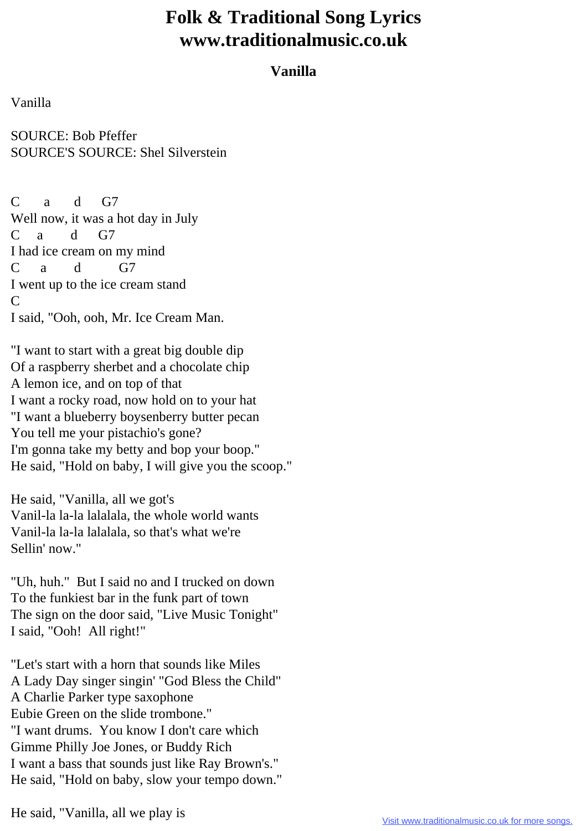## **Folk & Traditional Song Lyrics www.traditionalmusic.co.uk**

## **Vanilla**

Vanilla

SOURCE: Bob Pfeffer SOURCE'S SOURCE: Shel Silverstein

C a d G7 Well now, it was a hot day in July C a d G7 I had ice cream on my mind  $C$  a d G7 I went up to the ice cream stand C I said, "Ooh, ooh, Mr. Ice Cream Man.

"I want to start with a great big double dip Of a raspberry sherbet and a chocolate chip A lemon ice, and on top of that I want a rocky road, now hold on to your hat "I want a blueberry boysenberry butter pecan You tell me your pistachio's gone? I'm gonna take my betty and bop your boop." He said, "Hold on baby, I will give you the scoop."

He said, "Vanilla, all we got's Vanil-la la-la lalalala, the whole world wants Vanil-la la-la lalalala, so that's what we're Sellin' now."

"Uh, huh." But I said no and I trucked on down To the funkiest bar in the funk part of town The sign on the door said, "Live Music Tonight" I said, "Ooh! All right!"

"Let's start with a horn that sounds like Miles A Lady Day singer singin' "God Bless the Child" A Charlie Parker type saxophone Eubie Green on the slide trombone." "I want drums. You know I don't care which Gimme Philly Joe Jones, or Buddy Rich I want a bass that sounds just like Ray Brown's." He said, "Hold on baby, slow your tempo down."

He said, "Vanilla, all we play is